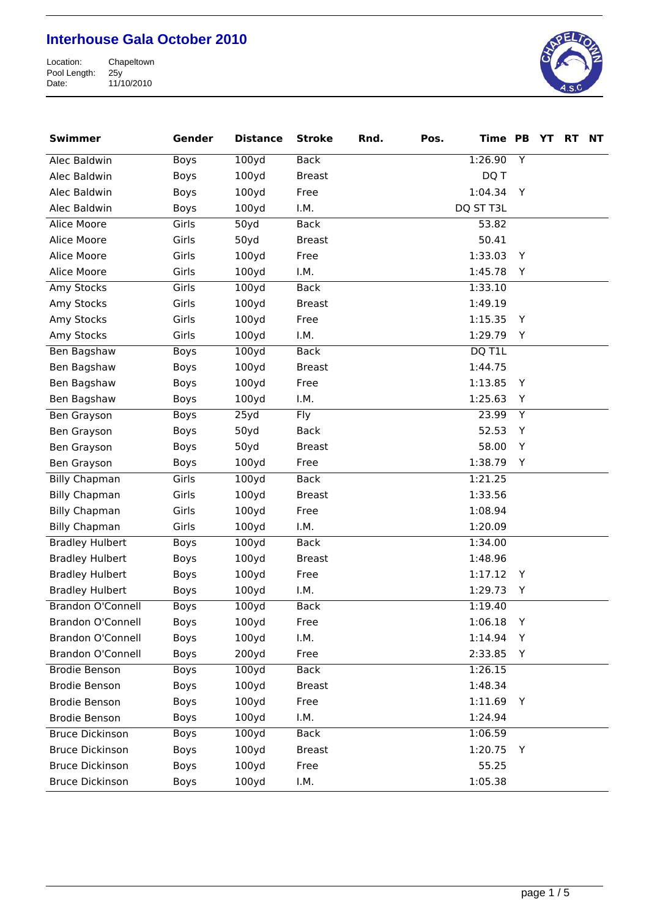

| <b>Swimmer</b>           | Gender      | <b>Distance</b>   | <b>Stroke</b> | Rnd. | Pos. | Time PB   |                | YT | <b>RT</b> | <b>NT</b> |
|--------------------------|-------------|-------------------|---------------|------|------|-----------|----------------|----|-----------|-----------|
| Alec Baldwin             | Boys        | 100yd             | <b>Back</b>   |      |      | 1:26.90   | $\overline{Y}$ |    |           |           |
| Alec Baldwin             | Boys        | 100yd             | <b>Breast</b> |      |      | DQ T      |                |    |           |           |
| Alec Baldwin             | Boys        | 100yd             | Free          |      |      | 1:04.34   | Y              |    |           |           |
| Alec Baldwin             | Boys        | 100y <sub>d</sub> | I.M.          |      |      | DQ ST T3L |                |    |           |           |
| <b>Alice Moore</b>       | Girls       | 50y <sub>d</sub>  | <b>Back</b>   |      |      | 53.82     |                |    |           |           |
| Alice Moore              | Girls       | 50yd              | <b>Breast</b> |      |      | 50.41     |                |    |           |           |
| Alice Moore              | Girls       | 100y <sub>d</sub> | Free          |      |      | 1:33.03   | Y              |    |           |           |
| Alice Moore              | Girls       | 100y <sub>d</sub> | I.M.          |      |      | 1:45.78   | Y              |    |           |           |
| Amy Stocks               | Girls       | 100yd             | <b>Back</b>   |      |      | 1:33.10   |                |    |           |           |
| Amy Stocks               | Girls       | 100y <sub>d</sub> | <b>Breast</b> |      |      | 1:49.19   |                |    |           |           |
| Amy Stocks               | Girls       | 100yd             | Free          |      |      | 1:15.35   | Y              |    |           |           |
| Amy Stocks               | Girls       | 100y <sub>d</sub> | I.M.          |      |      | 1:29.79   | Y              |    |           |           |
| Ben Bagshaw              | Boys        | 100yd             | <b>Back</b>   |      |      | DQ T1L    |                |    |           |           |
| Ben Bagshaw              | Boys        | 100yd             | <b>Breast</b> |      |      | 1:44.75   |                |    |           |           |
| Ben Bagshaw              | Boys        | 100y <sub>d</sub> | Free          |      |      | 1:13.85   | Y              |    |           |           |
| Ben Bagshaw              | Boys        | 100y <sub>d</sub> | I.M.          |      |      | 1:25.63   | Υ              |    |           |           |
| Ben Grayson              | <b>Boys</b> | 25yd              | <b>Fly</b>    |      |      | 23.99     | $\overline{Y}$ |    |           |           |
| Ben Grayson              | Boys        | 50yd              | <b>Back</b>   |      |      | 52.53     | Y              |    |           |           |
| Ben Grayson              | Boys        | 50yd              | <b>Breast</b> |      |      | 58.00     | Y              |    |           |           |
| Ben Grayson              | Boys        | 100y <sub>d</sub> | Free          |      |      | 1:38.79   | Y              |    |           |           |
| <b>Billy Chapman</b>     | Girls       | 100yd             | <b>Back</b>   |      |      | 1:21.25   |                |    |           |           |
| <b>Billy Chapman</b>     | Girls       | 100yd             | <b>Breast</b> |      |      | 1:33.56   |                |    |           |           |
| <b>Billy Chapman</b>     | Girls       | 100yd             | Free          |      |      | 1:08.94   |                |    |           |           |
| <b>Billy Chapman</b>     | Girls       | 100yd             | I.M.          |      |      | 1:20.09   |                |    |           |           |
| <b>Bradley Hulbert</b>   | Boys        | 100yd             | <b>Back</b>   |      |      | 1:34.00   |                |    |           |           |
| <b>Bradley Hulbert</b>   | Boys        | 100yd             | <b>Breast</b> |      |      | 1:48.96   |                |    |           |           |
| <b>Bradley Hulbert</b>   | Boys        | 100y <sub>d</sub> | Free          |      |      | 1:17.12   | Y              |    |           |           |
| <b>Bradley Hulbert</b>   | Boys        | 100y <sub>d</sub> | I.M.          |      |      | 1:29.73   | Υ              |    |           |           |
| <b>Brandon O'Connell</b> | Boys        | 100yd             | <b>Back</b>   |      |      | 1:19.40   |                |    |           |           |
| Brandon O'Connell        | Boys        | 100yd             | Free          |      |      | 1:06.18   | Y              |    |           |           |
| <b>Brandon O'Connell</b> | Boys        | 100y <sub>d</sub> | I.M.          |      |      | 1:14.94   | Υ              |    |           |           |
| <b>Brandon O'Connell</b> | <b>Boys</b> | 200y <sub>d</sub> | Free          |      |      | 2:33.85   | Y              |    |           |           |
| <b>Brodie Benson</b>     | Boys        | 100yd             | <b>Back</b>   |      |      | 1:26.15   |                |    |           |           |
| <b>Brodie Benson</b>     | Boys        | 100yd             | <b>Breast</b> |      |      | 1:48.34   |                |    |           |           |
| <b>Brodie Benson</b>     | Boys        | 100yd             | Free          |      |      | 1:11.69   | Υ              |    |           |           |
| <b>Brodie Benson</b>     | Boys        | 100yd             | I.M.          |      |      | 1:24.94   |                |    |           |           |
| <b>Bruce Dickinson</b>   | <b>Boys</b> | 100yd             | <b>Back</b>   |      |      | 1:06.59   |                |    |           |           |
| <b>Bruce Dickinson</b>   | <b>Boys</b> | 100yd             | <b>Breast</b> |      |      | 1:20.75   | Y              |    |           |           |
| <b>Bruce Dickinson</b>   | Boys        | 100yd             | Free          |      |      | 55.25     |                |    |           |           |
| <b>Bruce Dickinson</b>   | Boys        | 100yd             | I.M.          |      |      | 1:05.38   |                |    |           |           |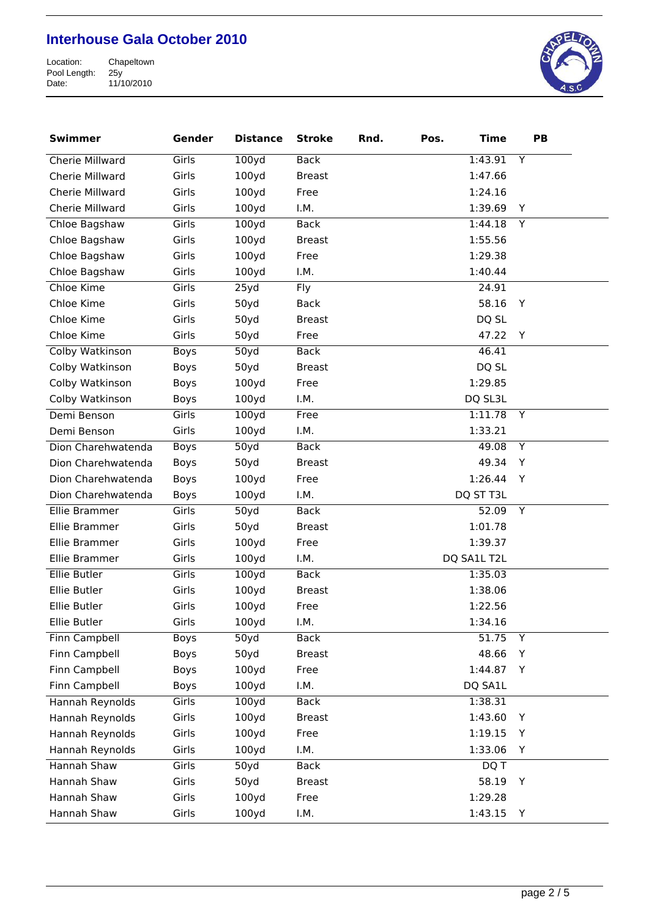

| <b>Swimmer</b>         | Gender      | <b>Distance</b>   | <b>Stroke</b> | Rnd. | Pos. | <b>Time</b>        | PB             |  |
|------------------------|-------------|-------------------|---------------|------|------|--------------------|----------------|--|
| <b>Cherie Millward</b> | Girls       | 100yd             | <b>Back</b>   |      |      | 1:43.91            | Y              |  |
| Cherie Millward        | Girls       | 100yd             | <b>Breast</b> |      |      | 1:47.66            |                |  |
| Cherie Millward        | Girls       | 100yd             | Free          |      |      | 1:24.16            |                |  |
| Cherie Millward        | Girls       | 100y <sub>d</sub> | I.M.          |      |      | 1:39.69            | Y              |  |
| Chloe Bagshaw          | Girls       | 100yd             | <b>Back</b>   |      |      | 1:44.18            | Y              |  |
| Chloe Bagshaw          | Girls       | 100yd             | <b>Breast</b> |      |      | 1:55.56            |                |  |
| Chloe Bagshaw          | Girls       | 100yd             | Free          |      |      | 1:29.38            |                |  |
| Chloe Bagshaw          | Girls       | 100yd             | I.M.          |      |      | 1:40.44            |                |  |
| Chloe Kime             | Girls       | 25yd              | <b>Fly</b>    |      |      | 24.91              |                |  |
| Chloe Kime             | Girls       | 50yd              | <b>Back</b>   |      |      | 58.16              | Y              |  |
| Chloe Kime             | Girls       | 50yd              | <b>Breast</b> |      |      | DQ SL              |                |  |
| Chloe Kime             | Girls       | 50yd              | Free          |      |      | 47.22              | Y              |  |
| Colby Watkinson        | <b>Boys</b> | 50y <sub>d</sub>  | <b>Back</b>   |      |      | 46.41              |                |  |
| Colby Watkinson        | Boys        | 50yd              | <b>Breast</b> |      |      | DQ SL              |                |  |
| Colby Watkinson        | Boys        | 100yd             | Free          |      |      | 1:29.85            |                |  |
| Colby Watkinson        | Boys        | 100y <sub>d</sub> | I.M.          |      |      | DQ SL3L            |                |  |
| Demi Benson            | Girls       | 100yd             | Free          |      |      | 1:11.78            | Y              |  |
| Demi Benson            | Girls       | 100yd             | I.M.          |      |      | 1:33.21            |                |  |
| Dion Charehwatenda     | Boys        | 50y <sub>d</sub>  | <b>Back</b>   |      |      | 49.08              | Y              |  |
| Dion Charehwatenda     | Boys        | 50yd              | <b>Breast</b> |      |      | 49.34              | Y              |  |
| Dion Charehwatenda     | Boys        | 100y <sub>d</sub> | Free          |      |      | 1:26.44            | Y              |  |
| Dion Charehwatenda     | Boys        | 100y <sub>d</sub> | I.M.          |      |      | DQ ST T3L          |                |  |
| Ellie Brammer          | Girls       | 50yd              | <b>Back</b>   |      |      | $\overline{52.09}$ | Y              |  |
| Ellie Brammer          | Girls       | 50yd              | <b>Breast</b> |      |      | 1:01.78            |                |  |
| Ellie Brammer          | Girls       | 100yd             | Free          |      |      | 1:39.37            |                |  |
| Ellie Brammer          | Girls       | 100yd             | I.M.          |      |      | DQ SA1L T2L        |                |  |
| <b>Ellie Butler</b>    | Girls       | 100yd             | <b>Back</b>   |      |      | 1:35.03            |                |  |
| Ellie Butler           | Girls       | 100yd             | <b>Breast</b> |      |      | 1:38.06            |                |  |
| Ellie Butler           | Girls       | 100y <sub>d</sub> | Free          |      |      | 1:22.56            |                |  |
| Ellie Butler           | Girls       | 100y <sub>d</sub> | I.M.          |      |      | 1:34.16            |                |  |
| Finn Campbell          | Boys        | 50y <sub>d</sub>  | <b>Back</b>   |      |      | 51.75              | $\overline{Y}$ |  |
| Finn Campbell          | Boys        | 50yd              | <b>Breast</b> |      |      | 48.66              | Y              |  |
| <b>Finn Campbell</b>   | <b>Boys</b> | 100yd             | Free          |      |      | 1:44.87            | Y              |  |
| Finn Campbell          | Boys        | 100y <sub>d</sub> | I.M.          |      |      | DQ SA1L            |                |  |
| Hannah Reynolds        | Girls       | 100yd             | <b>Back</b>   |      |      | 1:38.31            |                |  |
| Hannah Reynolds        | Girls       | 100yd             | <b>Breast</b> |      |      | 1:43.60            | Y              |  |
| Hannah Reynolds        | Girls       | 100yd             | Free          |      |      | 1:19.15            | Y              |  |
| Hannah Reynolds        | Girls       | 100y <sub>d</sub> | I.M.          |      |      | 1:33.06            | Y              |  |
| <b>Hannah Shaw</b>     | Girls       | 50yd              | <b>Back</b>   |      |      | DQ T               |                |  |
| Hannah Shaw            | Girls       | 50yd              | <b>Breast</b> |      |      | 58.19              | Y              |  |
| Hannah Shaw            | Girls       | 100y <sub>d</sub> | Free          |      |      | 1:29.28            |                |  |
| Hannah Shaw            | Girls       | 100yd             | I.M.          |      |      | 1:43.15            | Y              |  |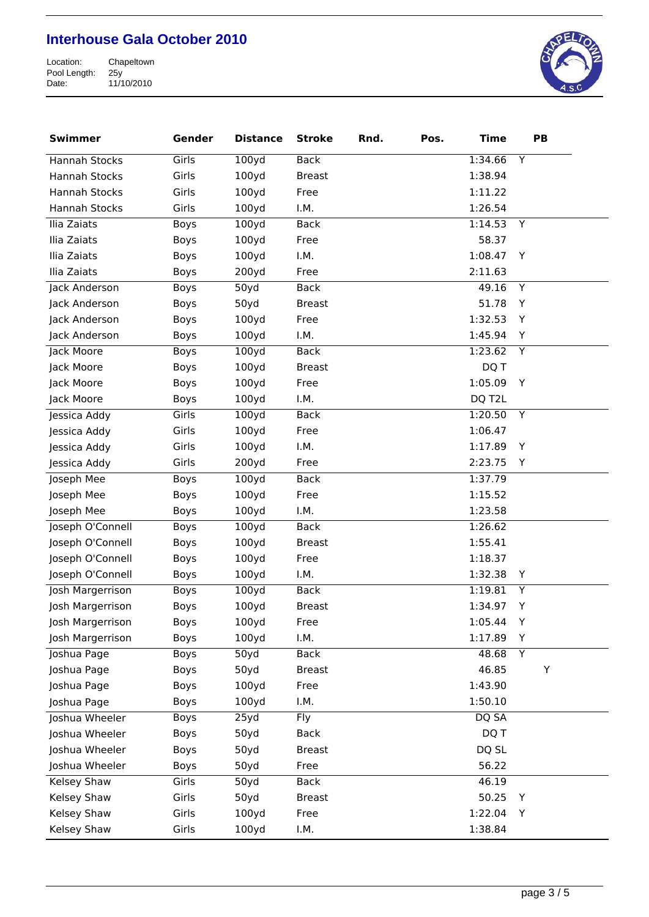

| <b>Swimmer</b>       | Gender      | <b>Distance</b>   | <b>Stroke</b> | Rnd. | Pos. | <b>Time</b> |   | PB |
|----------------------|-------------|-------------------|---------------|------|------|-------------|---|----|
| <b>Hannah Stocks</b> | Girls       | 100yd             | <b>Back</b>   |      |      | 1:34.66     | Υ |    |
| Hannah Stocks        | Girls       | 100y <sub>d</sub> | <b>Breast</b> |      |      | 1:38.94     |   |    |
| Hannah Stocks        | Girls       | 100yd             | Free          |      |      | 1:11.22     |   |    |
| Hannah Stocks        | Girls       | 100y <sub>d</sub> | I.M.          |      |      | 1:26.54     |   |    |
| Ilia Zaiats          | Boys        | 100yd             | <b>Back</b>   |      |      | 1:14.53     | Y |    |
| Ilia Zaiats          | Boys        | 100y <sub>d</sub> | Free          |      |      | 58.37       |   |    |
| Ilia Zaiats          | Boys        | 100yd             | I.M.          |      |      | 1:08.47     | Y |    |
| Ilia Zaiats          | Boys        | 200y <sub>d</sub> | Free          |      |      | 2:11.63     |   |    |
| Jack Anderson        | Boys        | 50yd              | <b>Back</b>   |      |      | 49.16       | Y |    |
| Jack Anderson        | Boys        | 50yd              | <b>Breast</b> |      |      | 51.78       | Y |    |
| Jack Anderson        | Boys        | 100yd             | Free          |      |      | 1:32.53     | Y |    |
| Jack Anderson        | Boys        | 100y <sub>d</sub> | I.M.          |      |      | 1:45.94     | Υ |    |
| Jack Moore           | Boys        | 100yd             | <b>Back</b>   |      |      | 1:23.62     | Y |    |
| Jack Moore           | Boys        | 100yd             | <b>Breast</b> |      |      | DQ T        |   |    |
| Jack Moore           | Boys        | 100yd             | Free          |      |      | 1:05.09     | Y |    |
| Jack Moore           | Boys        | 100y <sub>d</sub> | I.M.          |      |      | DQ T2L      |   |    |
| Jessica Addy         | Girls       | 100yd             | <b>Back</b>   |      |      | 1:20.50     | Y |    |
| Jessica Addy         | Girls       | 100y <sub>d</sub> | Free          |      |      | 1:06.47     |   |    |
| Jessica Addy         | Girls       | 100yd             | I.M.          |      |      | 1:17.89     | Υ |    |
| Jessica Addy         | Girls       | 200y <sub>d</sub> | Free          |      |      | 2:23.75     | Y |    |
| Joseph Mee           | Boys        | 100y <sub>d</sub> | <b>Back</b>   |      |      | 1:37.79     |   |    |
| Joseph Mee           | Boys        | 100y <sub>d</sub> | Free          |      |      | 1:15.52     |   |    |
| Joseph Mee           | Boys        | 100yd             | I.M.          |      |      | 1:23.58     |   |    |
| Joseph O'Connell     | Boys        | 100yd             | <b>Back</b>   |      |      | 1:26.62     |   |    |
| Joseph O'Connell     | Boys        | 100y <sub>d</sub> | <b>Breast</b> |      |      | 1:55.41     |   |    |
| Joseph O'Connell     | Boys        | 100y <sub>d</sub> | Free          |      |      | 1:18.37     |   |    |
| Joseph O'Connell     | Boys        | 100y <sub>d</sub> | I.M.          |      |      | 1:32.38     | Υ |    |
| Josh Margerrison     | Boys        | 100y <sub>d</sub> | <b>Back</b>   |      |      | 1:19.81     | Υ |    |
| Josh Margerrison     | Boys        | 100y <sub>d</sub> | <b>Breast</b> |      |      | 1:34.97     | Υ |    |
| Josh Margerrison     | Boys        | 100yd             | Free          |      |      | 1:05.44     | Υ |    |
| Josh Margerrison     | Boys        | 100y <sub>d</sub> | I.M.          |      |      | 1:17.89     | Υ |    |
| Joshua Page          | Boys        | 50yd              | <b>Back</b>   |      |      | 48.68       | Υ |    |
| Joshua Page          | <b>Boys</b> | 50yd              | <b>Breast</b> |      |      | 46.85       |   | Υ  |
| Joshua Page          | Boys        | 100y <sub>d</sub> | Free          |      |      | 1:43.90     |   |    |
| Joshua Page          | Boys        | 100y <sub>d</sub> | I.M.          |      |      | 1:50.10     |   |    |
| Joshua Wheeler       | Boys        | 25yd              | <b>Fly</b>    |      |      | DQ SA       |   |    |
| Joshua Wheeler       | Boys        | 50yd              | <b>Back</b>   |      |      | DQ T        |   |    |
| Joshua Wheeler       | Boys        | 50yd              | <b>Breast</b> |      |      | DQ SL       |   |    |
| Joshua Wheeler       | Boys        | 50yd              | Free          |      |      | 56.22       |   |    |
| <b>Kelsey Shaw</b>   | Girls       | 50yd              | <b>Back</b>   |      |      | 46.19       |   |    |
| Kelsey Shaw          | Girls       | 50yd              | <b>Breast</b> |      |      | 50.25       | Υ |    |
| Kelsey Shaw          | Girls       | 100yd             | Free          |      |      | 1:22.04     | Y |    |
| Kelsey Shaw          | Girls       | 100y <sub>d</sub> | I.M.          |      |      | 1:38.84     |   |    |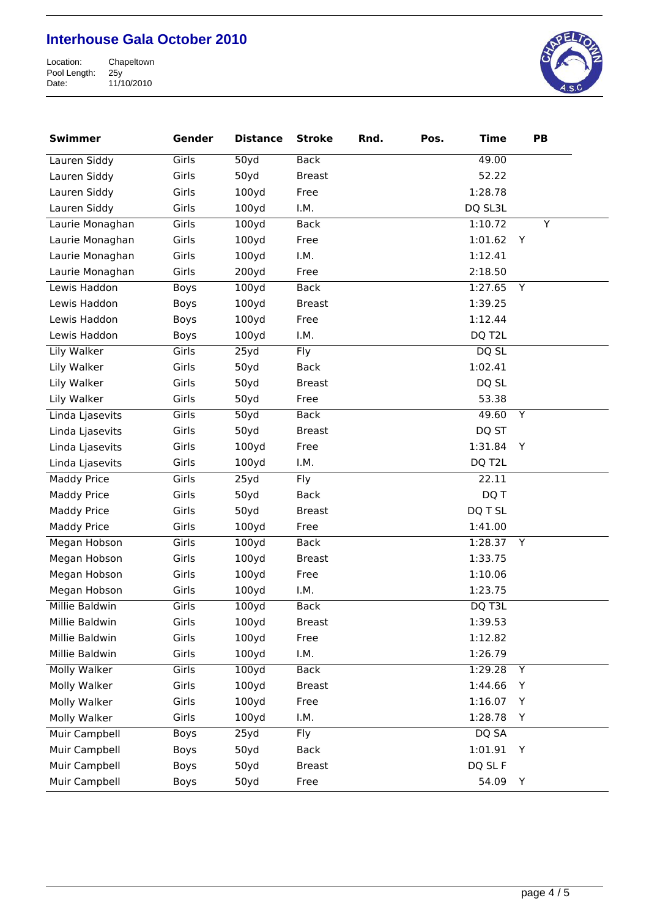

| <b>Swimmer</b>      | Gender | <b>Distance</b>   | <b>Stroke</b> | Rnd. | Pos. | <b>Time</b> | PB |   |
|---------------------|--------|-------------------|---------------|------|------|-------------|----|---|
| Lauren Siddy        | Girls  | 50y <sub>d</sub>  | <b>Back</b>   |      |      | 49.00       |    |   |
| Lauren Siddy        | Girls  | 50yd              | <b>Breast</b> |      |      | 52.22       |    |   |
| Lauren Siddy        | Girls  | 100yd             | Free          |      |      | 1:28.78     |    |   |
| Lauren Siddy        | Girls  | 100y <sub>d</sub> | I.M.          |      |      | DQ SL3L     |    |   |
| Laurie Monaghan     | Girls  | 100yd             | <b>Back</b>   |      |      | 1:10.72     |    | Y |
| Laurie Monaghan     | Girls  | 100yd             | Free          |      |      | 1:01.62     | Y  |   |
| Laurie Monaghan     | Girls  | 100yd             | I.M.          |      |      | 1:12.41     |    |   |
| Laurie Monaghan     | Girls  | 200y <sub>d</sub> | Free          |      |      | 2:18.50     |    |   |
| Lewis Haddon        | Boys   | 100yd             | <b>Back</b>   |      |      | 1:27.65     | Y  |   |
| Lewis Haddon        | Boys   | 100yd             | <b>Breast</b> |      |      | 1:39.25     |    |   |
| Lewis Haddon        | Boys   | 100y <sub>d</sub> | Free          |      |      | 1:12.44     |    |   |
| Lewis Haddon        | Boys   | 100yd             | I.M.          |      |      | DQ T2L      |    |   |
| Lily Walker         | Girls  | 25yd              | <b>Fly</b>    |      |      | DQ SL       |    |   |
| Lily Walker         | Girls  | 50yd              | <b>Back</b>   |      |      | 1:02.41     |    |   |
| Lily Walker         | Girls  | 50yd              | <b>Breast</b> |      |      | DQ SL       |    |   |
| Lily Walker         | Girls  | 50yd              | Free          |      |      | 53.38       |    |   |
| Linda Ljasevits     | Girls  | 50y <sub>d</sub>  | <b>Back</b>   |      |      | 49.60       | Y  |   |
| Linda Ljasevits     | Girls  | 50yd              | <b>Breast</b> |      |      | DQ ST       |    |   |
| Linda Ljasevits     | Girls  | 100y <sub>d</sub> | Free          |      |      | 1:31.84     | Y  |   |
| Linda Ljasevits     | Girls  | 100y <sub>d</sub> | I.M.          |      |      | DQ T2L      |    |   |
| <b>Maddy Price</b>  | Girls  | 25yd              | <b>Fly</b>    |      |      | 22.11       |    |   |
| <b>Maddy Price</b>  | Girls  | 50yd              | <b>Back</b>   |      |      | DQ T        |    |   |
| <b>Maddy Price</b>  | Girls  | 50yd              | <b>Breast</b> |      |      | DQ T SL     |    |   |
| <b>Maddy Price</b>  | Girls  | 100y <sub>d</sub> | Free          |      |      | 1:41.00     |    |   |
| Megan Hobson        | Girls  | 100yd             | <b>Back</b>   |      |      | 1:28.37 Y   |    |   |
| Megan Hobson        | Girls  | 100yd             | <b>Breast</b> |      |      | 1:33.75     |    |   |
| Megan Hobson        | Girls  | 100yd             | Free          |      |      | 1:10.06     |    |   |
| Megan Hobson        | Girls  | 100y <sub>d</sub> | I.M.          |      |      | 1:23.75     |    |   |
| Millie Baldwin      | Girls  | 100yd             | <b>Back</b>   |      |      | DQ T3L      |    |   |
| Millie Baldwin      | Girls  | 100yd             | <b>Breast</b> |      |      | 1:39.53     |    |   |
| Millie Baldwin      | Girls  | 100yd             | Free          |      |      | 1:12.82     |    |   |
| Millie Baldwin      | Girls  | 100yd             | I.M.          |      |      | 1:26.79     |    |   |
| <b>Molly Walker</b> | Girls  | 100yd             | <b>Back</b>   |      |      | 1:29.28     | Y  |   |
| Molly Walker        | Girls  | 100yd             | <b>Breast</b> |      |      | 1:44.66     | Y  |   |
| Molly Walker        | Girls  | 100yd             | Free          |      |      | 1:16.07     | Y  |   |
| Molly Walker        | Girls  | 100yd             | I.M.          |      |      | 1:28.78     | Y  |   |
| Muir Campbell       | Boys   | 25yd              | Fly           |      |      | DQ SA       |    |   |
| Muir Campbell       | Boys   | 50yd              | <b>Back</b>   |      |      | 1:01.91     | Y  |   |
| Muir Campbell       | Boys   | 50yd              | <b>Breast</b> |      |      | DQ SL F     |    |   |
| Muir Campbell       | Boys   | 50yd              | Free          |      |      | 54.09       | Y  |   |